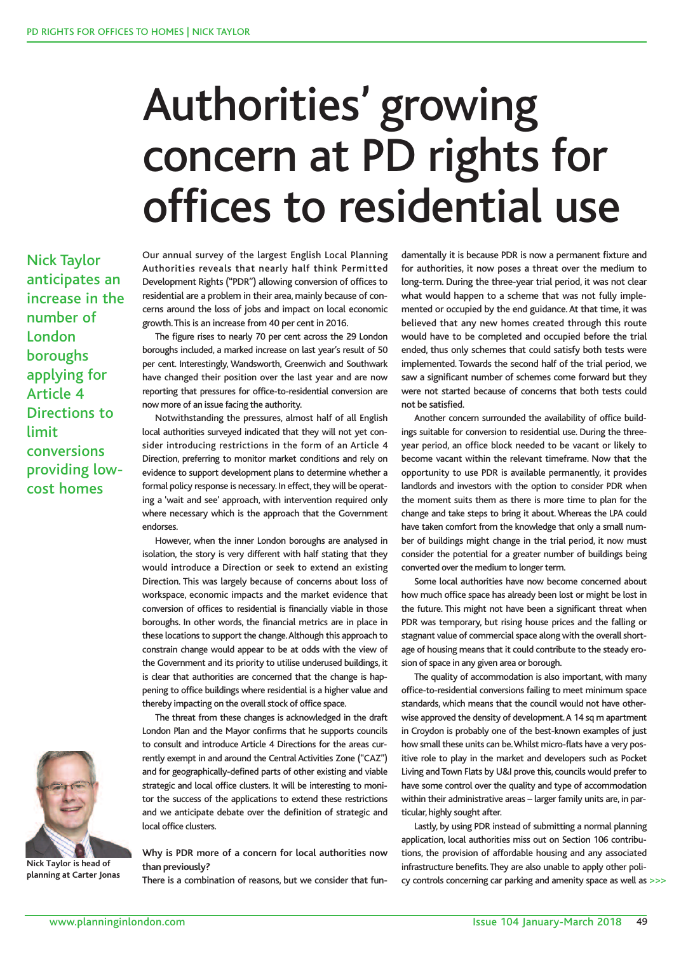## Authorities' growing concern at PD rights for offices to residential use

Nick Taylor anticipates an increase in the number of London boroughs applying for Article 4 Directions to limit conversions providing lowcost homes



The figure rises to nearly 70 per cent across the 29 London boroughs included, a marked increase on last year's result of 50 per cent. Interestingly, Wandsworth, Greenwich and Southwark have changed their position over the last year and are now reporting that pressures for office-to-residential conversion are now more of an issue facing the authority.

Notwithstanding the pressures, almost half of all English local authorities surveyed indicated that they will not yet consider introducing restrictions in the form of an Article 4 Direction, preferring to monitor market conditions and rely on evidence to support development plans to determine whether a formal policy response is necessary. In effect, they will be operating a 'wait and see' approach, with intervention required only where necessary which is the approach that the Government endorses.

However, when the inner London boroughs are analysed in isolation, the story is very different with half stating that they would introduce a Direction or seek to extend an existing Direction. This was largely because of concerns about loss of workspace, economic impacts and the market evidence that conversion of offices to residential is financially viable in those boroughs. In other words, the financial metrics are in place in these locations to support the change. Although this approach to constrain change would appear to be at odds with the view of the Government and its priority to utilise underused buildings, it is clear that authorities are concerned that the change is happening to office buildings where residential is a higher value and thereby impacting on the overall stock of office space.

The threat from these changes is acknowledged in the draft London Plan and the Mayor confirms that he supports councils to consult and introduce Article 4 Directions for the areas currently exempt in and around the Central Activities Zone ("CAZ") and for geographically-defined parts of other existing and viable strategic and local office clusters. It will be interesting to monitor the success of the applications to extend these restrictions and we anticipate debate over the definition of strategic and local office clusters.

damentally it is because PDR is now a permanent fixture and for authorities, it now poses a threat over the medium to long-term. During the three-year trial period, it was not clear what would happen to a scheme that was not fully implemented or occupied by the end guidance.At that time, it was believed that any new homes created through this route would have to be completed and occupied before the trial ended, thus only schemes that could satisfy both tests were implemented. Towards the second half of the trial period, we saw a significant number of schemes come forward but they were not started because of concerns that both tests could not be satisfied.

Another concern surrounded the availability of office buildings suitable for conversion to residential use. During the threeyear period, an office block needed to be vacant or likely to become vacant within the relevant timeframe. Now that the opportunity to use PDR is available permanently, it provides landlords and investors with the option to consider PDR when the moment suits them as there is more time to plan for the change and take steps to bring it about.Whereas the LPA could have taken comfort from the knowledge that only a small number of buildings might change in the trial period, it now must consider the potential for a greater number of buildings being converted over the medium to longer term.

Some local authorities have now become concerned about how much office space has already been lost or might be lost in the future. This might not have been a significant threat when PDR was temporary, but rising house prices and the falling or stagnant value of commercial space along with the overall shortage of housing means that it could contribute to the steady erosion of space in any given area or borough.

The quality of accommodation is also important, with many office-to-residential conversions failing to meet minimum space standards, which means that the council would not have otherwise approved the density of development.A 14 sq m apartment in Croydon is probably one of the best-known examples of just how small these units can be. Whilst micro-flats have a very positive role to play in the market and developers such as Pocket Living and Town Flats by U&I prove this, councils would prefer to have some control over the quality and type of accommodation within their administrative areas – larger family units are, in particular, highly sought after.

Lastly, by using PDR instead of submitting a normal planning application, local authorities miss out on Section 106 contributions, the provision of affordable housing and any associated infrastructure benefits.They are also unable to apply other policy controls concerning car parking and amenity space as well as >>>



**Nick Taylor is head of planning at Carter Jonas**

**Why is PDR more of a concern for local authorities now than previously?**

There is a combination of reasons, but we consider that fun-